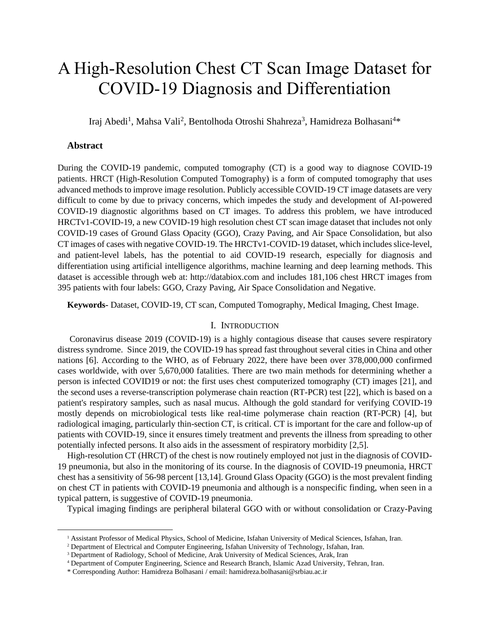# A High-Resolution Chest CT Scan Image Dataset for COVID-19 Diagnosis and Differentiation

Iraj Abedi<sup>1</sup>, Mahsa Vali<sup>2</sup>, Bentolhoda Otroshi Shahreza<sup>3</sup>, Hamidreza Bolhasani<sup>4\*</sup>

## **Abstract**

During the COVID-19 pandemic, computed tomography (CT) is a good way to diagnose COVID-19 patients. HRCT (High-Resolution Computed Tomography) is a form of computed tomography that uses advanced methods to improve image resolution. Publicly accessible COVID-19 CT image datasets are very difficult to come by due to privacy concerns, which impedes the study and development of AI-powered COVID-19 diagnostic algorithms based on CT images. To address this problem, we have introduced HRCTv1-COVID-19, a new COVID-19 high resolution chest CT scan image dataset that includes not only COVID-19 cases of Ground Glass Opacity (GGO), Crazy Paving, and Air Space Consolidation, but also CT images of cases with negative COVID-19. The HRCTv1-COVID-19 dataset, which includes slice-level, and patient-level labels, has the potential to aid COVID-19 research, especially for diagnosis and differentiation using artificial intelligence algorithms, machine learning and deep learning methods. This dataset is accessible through web at: http://databiox.com and includes 181,106 chest HRCT images from 395 patients with four labels: GGO, Crazy Paving, Air Space Consolidation and Negative.

**Keywords-** Dataset, COVID-19, CT scan, Computed Tomography, Medical Imaging, Chest Image.

# I. INTRODUCTION

Coronavirus disease 2019 (COVID-19) is a highly contagious disease that causes severe respiratory distress syndrome. Since 2019, the COVID-19 has spread fast throughout several cities in China and other nations [6]. According to the WHO, as of February 2022, there have been over 378,000,000 confirmed cases worldwide, with over 5,670,000 fatalities. There are two main methods for determining whether a person is infected COVID19 or not: the first uses chest computerized tomography (CT) images [21], and the second uses a reverse-transcription polymerase chain reaction (RT-PCR) test [22], which is based on a patient's respiratory samples, such as nasal mucus. Although the gold standard for verifying COVID-19 mostly depends on microbiological tests like real-time polymerase chain reaction (RT-PCR) [4], but radiological imaging, particularly thin-section CT, is critical. CT is important for the care and follow-up of patients with COVID-19, since it ensures timely treatment and prevents the illness from spreading to other potentially infected persons. It also aids in the assessment of respiratory morbidity [2,5].

High-resolution CT (HRCT) of the chest is now routinely employed not just in the diagnosis of COVID-19 pneumonia, but also in the monitoring of its course. In the diagnosis of COVID-19 pneumonia, HRCT chest has a sensitivity of 56-98 percent [13,14]. Ground Glass Opacity (GGO) is the most prevalent finding on chest CT in patients with COVID-19 pneumonia and although is a nonspecific finding, when seen in a typical pattern, is suggestive of COVID-19 pneumonia.

Typical imaging findings are peripheral bilateral GGO with or without consolidation or Crazy-Paving

<sup>1</sup> Assistant Professor of Medical Physics, School of Medicine, Isfahan University of Medical Sciences, Isfahan, Iran.

<sup>2</sup> Department of Electrical and Computer Engineering, Isfahan University of Technology, Isfahan, Iran.

<sup>&</sup>lt;sup>3</sup> Department of Radiology, School of Medicine, Arak University of Medical Sciences, Arak, Iran

<sup>4</sup> Department of Computer Engineering, Science and Research Branch, Islamic Azad University, Tehran, Iran.

<sup>\*</sup> Corresponding Author: Hamidreza Bolhasani / email: hamidreza.bolhasani@srbiau.ac.ir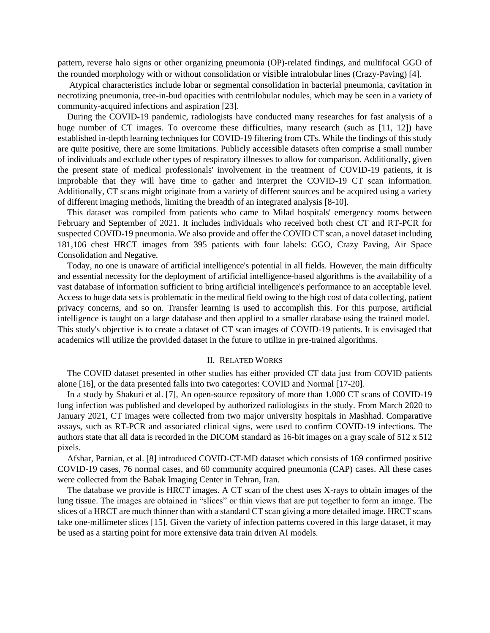pattern, reverse halo signs or other organizing pneumonia (OP)-related findings, and multifocal GGO of the rounded morphology with or without consolidation or visible intralobular lines (Crazy-Paving) [4].

Atypical characteristics include lobar or segmental consolidation in bacterial pneumonia, cavitation in necrotizing pneumonia, tree-in-bud opacities with centrilobular nodules, which may be seen in a variety of community-acquired infections and aspiration [23].

During the COVID-19 pandemic, radiologists have conducted many researches for fast analysis of a huge number of CT images. To overcome these difficulties, many research (such as [11, 12]) have established in-depth learning techniques for COVID-19 filtering from CTs. While the findings of this study are quite positive, there are some limitations. Publicly accessible datasets often comprise a small number of individuals and exclude other types of respiratory illnesses to allow for comparison. Additionally, given the present state of medical professionals' involvement in the treatment of COVID-19 patients, it is improbable that they will have time to gather and interpret the COVID-19 CT scan information. Additionally, CT scans might originate from a variety of different sources and be acquired using a variety of different imaging methods, limiting the breadth of an integrated analysis [8-10].

This dataset was compiled from patients who came to Milad hospitals' emergency rooms between February and September of 2021. It includes individuals who received both chest CT and RT-PCR for suspected COVID-19 pneumonia. We also provide and offer the COVID CT scan, a novel dataset including 181,106 chest HRCT images from 395 patients with four labels: GGO, Crazy Paving, Air Space Consolidation and Negative.

Today, no one is unaware of artificial intelligence's potential in all fields. However, the main difficulty and essential necessity for the deployment of artificial intelligence-based algorithms is the availability of a vast database of information sufficient to bring artificial intelligence's performance to an acceptable level. Access to huge data sets is problematic in the medical field owing to the high cost of data collecting, patient privacy concerns, and so on. Transfer learning is used to accomplish this. For this purpose, artificial intelligence is taught on a large database and then applied to a smaller database using the trained model. This study's objective is to create a dataset of CT scan images of COVID-19 patients. It is envisaged that academics will utilize the provided dataset in the future to utilize in pre-trained algorithms.

#### II. RELATED WORKS

The COVID dataset presented in other studies has either provided CT data just from COVID patients alone [16], or the data presented falls into two categories: COVID and Normal [17-20].

In a study by Shakuri et al. [7], An open-source repository of more than 1,000 CT scans of COVID-19 lung infection was published and developed by authorized radiologists in the study. From March 2020 to January 2021, CT images were collected from two major university hospitals in Mashhad. Comparative assays, such as RT-PCR and associated clinical signs, were used to confirm COVID-19 infections. The authors state that all data is recorded in the DICOM standard as 16-bit images on a gray scale of 512 x 512 pixels.

Afshar, Parnian, et al. [8] introduced COVID-CT-MD dataset which consists of 169 confirmed positive COVID-19 cases, 76 normal cases, and 60 community acquired pneumonia (CAP) cases. All these cases were collected from the Babak Imaging Center in Tehran, Iran.

The database we provide is HRCT images. A CT scan of the chest uses X-rays to obtain images of the lung tissue. The images are obtained in "slices" or thin views that are put together to form an image. The slices of a HRCT are much thinner than with a standard CT scan giving a more detailed image. HRCT scans take one-millimeter slices [15]. Given the variety of infection patterns covered in this large dataset, it may be used as a starting point for more extensive data train driven AI models.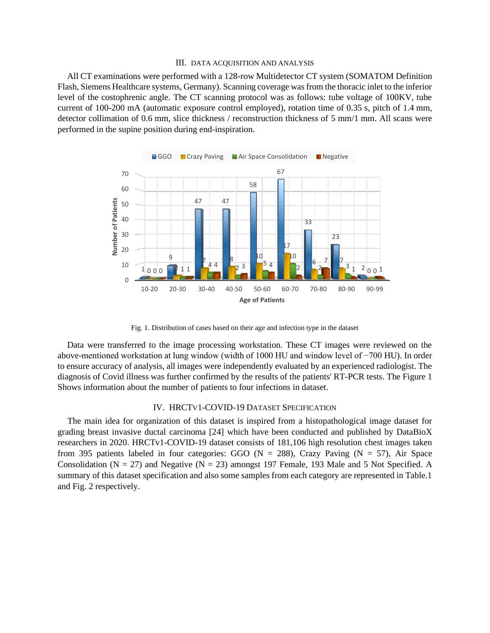#### III. DATA ACQUISITION AND ANALYSIS

All CT examinations were performed with a 128-row Multidetector CT system (SOMATOM Definition Flash, Siemens Healthcare systems, Germany). Scanning coverage was from the thoracic inlet to the inferior level of the costophrenic angle. The CT scanning protocol was as follows: tube voltage of 100KV, tube current of 100-200 mA (automatic exposure control employed), rotation time of 0.35 s, pitch of 1.4 mm, detector collimation of 0.6 mm, slice thickness / reconstruction thickness of 5 mm/1 mm. All scans were performed in the supine position during end-inspiration.



Fig. 1. Distribution of cases based on their age and infection type in the dataset

Data were transferred to the image processing workstation. These CT images were reviewed on the above-mentioned workstation at lung window (width of 1000 HU and window level of −700 HU). In order to ensure accuracy of analysis, all images were independently evaluated by an experienced radiologist. The diagnosis of Covid illness was further confirmed by the results of the patients' RT-PCR tests. The Figure 1 Shows information about the number of patients to four infections in dataset.

### IV. HRCTV1-COVID-19 DATASET SPECIFICATION

The main idea for organization of this dataset is inspired from a histopathological image dataset for grading breast invasive ductal carcinoma [24] which have been conducted and published by DataBioX researchers in 2020. HRCTv1-COVID-19 dataset consists of 181,106 high resolution chest images taken from 395 patients labeled in four categories: GGO ( $N = 288$ ), Crazy Paving ( $N = 57$ ), Air Space Consolidation ( $N = 27$ ) and Negative ( $N = 23$ ) amongst 197 Female, 193 Male and 5 Not Specified. A summary of this dataset specification and also some samples from each category are represented in Table.1 and Fig. 2 respectively.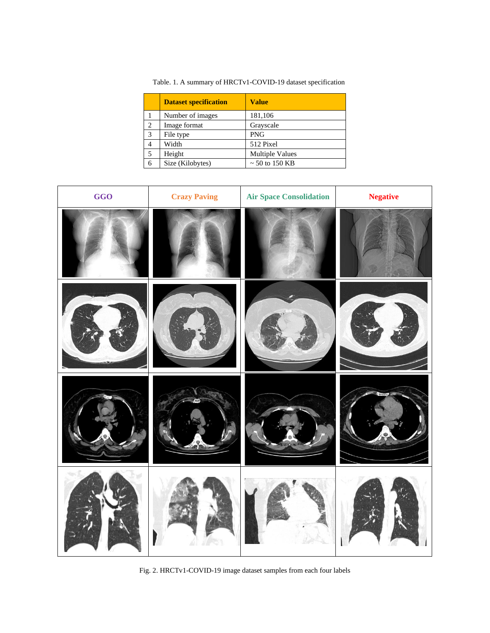|   | <b>Dataset specification</b> | <b>Value</b>           |
|---|------------------------------|------------------------|
|   | Number of images             | 181,106                |
| 2 | Image format                 | Grayscale              |
| 3 | File type                    | <b>PNG</b>             |
| 4 | Width                        | 512 Pixel              |
| 5 | Height                       | <b>Multiple Values</b> |
| 6 | Size (Kilobytes)             | $\sim$ 50 to 150 KB    |

Table. 1. A summary of HRCTv1-COVID-19 dataset specification



Fig. 2. HRCTv1-COVID-19 image dataset samples from each four labels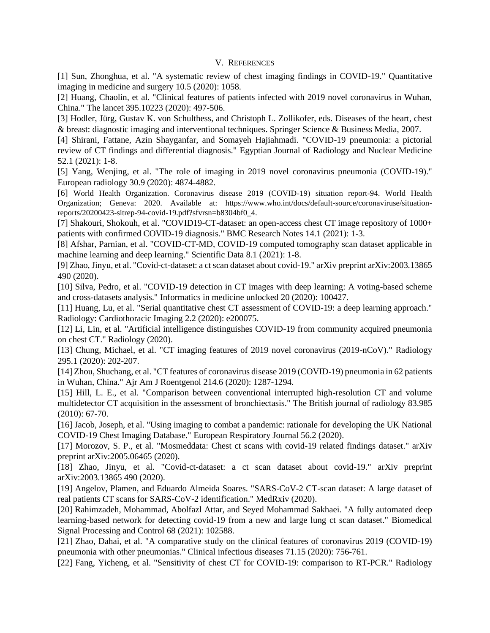## V. REFERENCES

[1] Sun, Zhonghua, et al. "A systematic review of chest imaging findings in COVID-19." Quantitative imaging in medicine and surgery 10.5 (2020): 1058.

[2] Huang, Chaolin, et al. "Clinical features of patients infected with 2019 novel coronavirus in Wuhan, China." The lancet 395.10223 (2020): 497-506.

[3] Hodler, Jürg, Gustav K. von Schulthess, and Christoph L. Zollikofer, eds. Diseases of the heart, chest & breast: diagnostic imaging and interventional techniques. Springer Science & Business Media, 2007.

[4] Shirani, Fattane, Azin Shayganfar, and Somayeh Hajiahmadi. "COVID-19 pneumonia: a pictorial review of CT findings and differential diagnosis." Egyptian Journal of Radiology and Nuclear Medicine 52.1 (2021): 1-8.

[5] Yang, Wenjing, et al. "The role of imaging in 2019 novel coronavirus pneumonia (COVID-19)." European radiology 30.9 (2020): 4874-4882.

[6] World Health Organization. Coronavirus disease 2019 (COVID-19) situation report-94. World Health Organization; Geneva: 2020. Available at: [https://www.who.int/docs/default-source/coronaviruse/situation](https://www.who.int/docs/default-source/coronaviruse/situation-reports/20200423-sitrep-94-covid-19.pdf?sfvrsn=b8304bf0_4)[reports/20200423-sitrep-94-covid-19.pdf?sfvrsn=b8304bf0\\_4.](https://www.who.int/docs/default-source/coronaviruse/situation-reports/20200423-sitrep-94-covid-19.pdf?sfvrsn=b8304bf0_4)

[7] Shakouri, Shokouh, et al. "COVID19-CT-dataset: an open-access chest CT image repository of 1000+ patients with confirmed COVID-19 diagnosis." BMC Research Notes 14.1 (2021): 1-3.

[8] Afshar, Parnian, et al. "COVID-CT-MD, COVID-19 computed tomography scan dataset applicable in machine learning and deep learning." Scientific Data 8.1 (2021): 1-8.

[9] Zhao, Jinyu, et al. "Covid-ct-dataset: a ct scan dataset about covid-19." arXiv preprint arXiv:2003.13865 490 (2020).

[10] Silva, Pedro, et al. "COVID-19 detection in CT images with deep learning: A voting-based scheme and cross-datasets analysis." Informatics in medicine unlocked 20 (2020): 100427.

[11] Huang, Lu, et al. "Serial quantitative chest CT assessment of COVID-19: a deep learning approach." Radiology: Cardiothoracic Imaging 2.2 (2020): e200075.

[12] Li, Lin, et al. "Artificial intelligence distinguishes COVID-19 from community acquired pneumonia on chest CT." Radiology (2020).

[13] Chung, Michael, et al. "CT imaging features of 2019 novel coronavirus (2019-nCoV)." Radiology 295.1 (2020): 202-207.

[14] Zhou, Shuchang, et al. "CT features of coronavirus disease 2019 (COVID-19) pneumonia in 62 patients in Wuhan, China." Ajr Am J Roentgenol 214.6 (2020): 1287-1294.

[15] Hill, L. E., et al. "Comparison between conventional interrupted high-resolution CT and volume multidetector CT acquisition in the assessment of bronchiectasis." The British journal of radiology 83.985 (2010): 67-70.

[16] Jacob, Joseph, et al. "Using imaging to combat a pandemic: rationale for developing the UK National COVID-19 Chest Imaging Database." European Respiratory Journal 56.2 (2020).

[17] Morozov, S. P., et al. "Mosmeddata: Chest ct scans with covid-19 related findings dataset." arXiv preprint arXiv:2005.06465 (2020).

[18] Zhao, Jinyu, et al. "Covid-ct-dataset: a ct scan dataset about covid-19." arXiv preprint arXiv:2003.13865 490 (2020).

[19] Angelov, Plamen, and Eduardo Almeida Soares. "SARS-CoV-2 CT-scan dataset: A large dataset of real patients CT scans for SARS-CoV-2 identification." MedRxiv (2020).

[20] Rahimzadeh, Mohammad, Abolfazl Attar, and Seyed Mohammad Sakhaei. "A fully automated deep learning-based network for detecting covid-19 from a new and large lung ct scan dataset." Biomedical Signal Processing and Control 68 (2021): 102588.

[21] Zhao, Dahai, et al. "A comparative study on the clinical features of coronavirus 2019 (COVID-19) pneumonia with other pneumonias." Clinical infectious diseases 71.15 (2020): 756-761.

[22] Fang, Yicheng, et al. "Sensitivity of chest CT for COVID-19: comparison to RT-PCR." Radiology